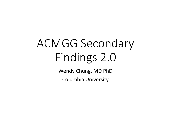# ACMGG Secondary Findings 2.0

Wendy Chung, MD PhD

Columbia University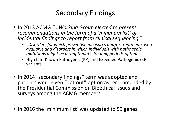## Secondary Findings

- In 2013 ACMG "... Working Group elected to present recommendations in the form of a 'minimum list' of *incidental findings to report from clinical sequencing."*
	- *"Disorders for which preventive measures and/or treatments were available and disorders in which individuals with pathogenic*  mutations might be asymptomatic for long periods of time."
	- High bar: Known Pathogenic (KP) and Expected Pathogenic (EP) variants
- In 2014 "secondary findings" term was adopted and patients were given "opt-out" option as recommended by the Presidential Commission on Bioethical Issues and surveys among the ACMG members.
- In 2016 the 'minimum list' was updated to 59 genes.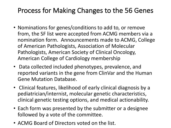## Process for Making Changes to the 56 Genes

- Nominations for genes/conditions to add to, or remove from, the SF list were accepted from ACMG members via a nomination form. Announcements made to ACMG, College of American Pathologists, Association of Molecular Pathologists, American Society of Clinical Oncology, American College of Cardiology membership
- Data collected included phenotypes, prevalence, and reported variants in the gene from ClinVar and the Human Gene Mutation Database.
- Clinical features, likelihood of early clinical diagnosis by a pediatrician/internist, molecular genetic characteristics, clinical genetic testing options, and medical actionability.
- Each form was presented by the submitter or a designee followed by a vote of the committee.
- ACMG Board of Directors voted on the list.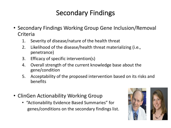## Secondary Findings

- Secondary Findings Working Group Gene Inclusion/Removal Criteria
	- 1. Severity of disease/nature of the health threat
	- 2. Likelihood of the disease/health threat materializing (i.e., penetrance)
	- 3. Efficacy of specific intervention(s)
	- 4. Overall strength of the current knowledge base about the gene/condition
	- 5. Acceptability of the proposed intervention based on its risks and benefits
- ClinGen Actionability Working Group
	- "Actionability Evidence Based Summaries" for genes/conditions on the secondary findings list.



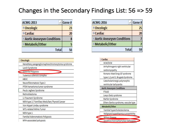### Changes in the Secondary Findings List:  $56 \Rightarrow 59$

| <b>ACMG 2013</b>             | <b>Gene#</b> |
|------------------------------|--------------|
| ⊕Oncologic                   | 23           |
| ⊕ Cardiac                    | 20           |
| ± Aortic Aneurysm Conditions | 8            |
| ⊕Metabolic/Other             | 5            |
| <b>Total</b>                 |              |

| <b>□</b> Oncologic                                |
|---------------------------------------------------|
| Hereditary paragangliomapheochromocytoma syndrome |
| Lynch Syndrome                                    |
| Juvenile Polyposis                                |
| Tuberous sclerosis complex                        |
| <b>HBOC</b>                                       |
| Neurofibromatosis Type 2                          |
| PTEN hamartoma tumor syndrome                     |
| Peutz-Jeghers Syndrome                            |
| Retinoblastoma                                    |
| Li-Fraumeni Syndrome                              |
| MEN type 2 / Famillary Medullary Thyroid Cancer   |
| Von Hippel-Lindau syndrome                        |
| WT1-related Wilms Tumor                           |
| MEN type 1                                        |
| <b>Familial Adenomatosis Polyposis</b>            |
| MYH-associated poluposis                          |

| <b>ACMG 2016</b>             | Gene# |
|------------------------------|-------|
| ⊕Oncologic                   | 25    |
| ⊕ Cardiac                    | 20    |
| ± Aortic Aneurysm Conditions |       |
| <b>⊞Metabolic/Other</b>      |       |
| <b>Tota</b>                  |       |

| <b>□ Cardiac</b>                      |  |
|---------------------------------------|--|
| HCM/DCM                               |  |
| Arrhythmogenic right ventricular      |  |
| cardiomyopathy                        |  |
| Romano-Ward long-QT syndrome          |  |
| types 1,2, and 3, Brugada Syndrome    |  |
| Catecholaminergic polymorphic         |  |
| ventricular tachycardia               |  |
| <b>E Aortic Aneurysm Conditions</b>   |  |
| FTAAD                                 |  |
| Loeys-Dietz syndrome                  |  |
| Marfan Syndrome                       |  |
| Ehlers-Danlos syndrome, vascular type |  |
| □Metabolic/Other                      |  |
| Familial hypercholesterolemia         |  |
| Malignant hyperthermia susceptibility |  |
| <b>Wilson Disease</b>                 |  |
| Ornithine transcarbamylase deficiency |  |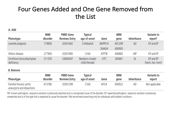### Four Genes Added and One Gene Removed from the List

A. Add

|                                          | MIM        | <b>PMID Gene</b>     | <b>Typical</b>                    |               | MIM    |                    | <b>Variants to</b>            |
|------------------------------------------|------------|----------------------|-----------------------------------|---------------|--------|--------------------|-------------------------------|
| Phenotype                                | disorder   | <b>Reviews Entry</b> | age of onset                      | Gene          | gene   | <b>Inheritance</b> | report <sup>a</sup>           |
| Juvenile polyposis                       | 174900     | 20301642             | Child/adult                       | <b>BMPR1A</b> | 601299 | AD                 | KP and EP                     |
|                                          |            |                      |                                   | SMAD4         | 600993 |                    |                               |
| Wilson disease                           | 277900     | 20301685             | Child                             | ATP7B         | 606882 | ARb                | KP and EP                     |
| Ornithine transcarbamylase<br>deficiency | 311250     | 24006547             | Newborn (male)/<br>child (female) | <b>OTC</b>    | 300461 | <b>XL</b>          | KP and EP<br>(hemi, het, hom) |
| <b>B.</b> Remove                         |            |                      |                                   |               |        |                    |                               |
|                                          | <b>MIM</b> | <b>PMID Gene</b>     | Typical                           |               | MIM    |                    | <b>Variants to</b>            |
|                                          |            |                      |                                   |               |        |                    |                               |

| Phenotype                                             | IVIIIVI<br>disorder | <b>TIVIID OCHE</b><br><b>Reviews Entry</b> | TVDICAL<br>age of onset | Gene | IVIIIVI<br>gene | Inheritance | vanants to<br>report |
|-------------------------------------------------------|---------------------|--------------------------------------------|-------------------------|------|-----------------|-------------|----------------------|
| Familial thoracic aortic<br>aneurysms and dissections | 613780              | 20301299                                   | Child                   | MYLK | 600922          | AD          | Not applicable       |

aKP: known pathogenic, sequence variation is previously reported and is a recognized cause of the disorder; EP: expected pathogenic, sequence variation is previously unreported and is of the type that is expected to cause the disorder. <sup>b</sup>We recommend searching only for individuals with biallelic mutations.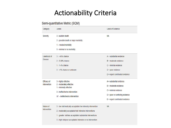## **Actionability Criteria**

#### Semi-quantitative Metric (SQM)

| Category                         | Levels                                                                                                                                                                                                                                                 | Level of Evidence                                                                                                                                          |
|----------------------------------|--------------------------------------------------------------------------------------------------------------------------------------------------------------------------------------------------------------------------------------------------------|------------------------------------------------------------------------------------------------------------------------------------------------------------|
| Severity                         | 3 - sudden death<br>2 - possible death or major morbidity<br>1 - modest morbidity<br>0 - minimal or no morbidity                                                                                                                                       | <b>NA</b>                                                                                                                                                  |
| Likelihood of<br><b>Disease</b>  | $3 - 240\%$ chance<br>2 - 5-39% chance<br>$1 - 1 - 4%$ chance<br>$0 - 1\%$ chance or unknown                                                                                                                                                           | $A =$ substantial evidence<br>$B =$ moderate evidence<br>$C = minimal evidence$<br>$D = poor evidence$<br>$E$ = expert contributed evidence                |
| Efficacy of<br>Intervention      | 3 - highly effective<br>2 - moderately effective<br>1 - minimally effective<br>0 - ineffective/no intervention<br>$IN^*$ – ineffective/no intervention                                                                                                 | $A =$ substantial evidence<br>$B =$ moderate evidence<br>$C = minimal evidence$<br>$D =$ poor or conflicting evidence<br>$E$ = expert contributed evidence |
| Nature of<br><b>Intervention</b> | 3 - low risk/medically acceptable/ low intensity intervention<br>2 - moderately acceptable/risk/ intensive interventions<br>1 - greater risk/less acceptable/ substantial interventions<br>0 - high risk/poor acceptable/ intensive or no intervention | <b>NA</b>                                                                                                                                                  |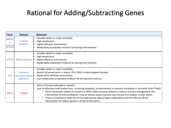## Rational for Adding/Subtracting Genes

| Gene                | <b>Disease</b>                                          | Rationale                                                                                                                                                                                                                                                                                                                                                                                                                                                                                                                                                               |
|---------------------|---------------------------------------------------------|-------------------------------------------------------------------------------------------------------------------------------------------------------------------------------------------------------------------------------------------------------------------------------------------------------------------------------------------------------------------------------------------------------------------------------------------------------------------------------------------------------------------------------------------------------------------------|
| BMPR1<br>A<br>SMAD4 | Juvenile<br><b>Polyposis</b>                            | Possible death or major morbidity<br>High penetrance<br>Highly effective intervention<br>Moderately acceptable medical risk during interventions                                                                                                                                                                                                                                                                                                                                                                                                                        |
| ATP7B               | <b>Wilson Disease</b>                                   | Possible death or major morbidity<br>High penetrance<br>Highly effective intervention<br>Moderately acceptable medical risk during interventions                                                                                                                                                                                                                                                                                                                                                                                                                        |
| <b>OTC</b>          | Ornithine<br>transcabamylase <sup>•</sup><br>deficiency | Possible death or major morbidity<br>Nearly full penetrance in males; 20 to 30% in heterozygous females.<br>Moderately effective intervention<br>Low-moderately acceptable medical risk during interventions                                                                                                                                                                                                                                                                                                                                                            |
| <b>MYLK</b>         | <b>FTAAD</b>                                            | Rarity of known pathogenic variants<br>Lack of effective confirmatory test, screening modality, or intervention to prevent morbidity or mortality from FTAAD<br>Aortic dissection related to variants in MYLK often presents without a history of aortic enlargement, the<br>$\bullet$<br>intervention of echocardiogram may be falsely reassuring and may not prevent sudden cardiac death.<br>There is insufficient evidence on the appropriate age to begin medications and the efficacy of this<br>$\bullet$<br>intervention to reduce dynamic stress on the aorta. |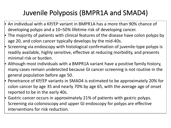# Juvenile Polyposis (BMPR1A and SMAD4)

- $\blacktriangleright$  An individual with a KP/EP variant in BMPR1A has a more than 90% chance of developing polyps and a 10-50% lifetime risk of developing cancer.
- $\cdot$  The majority of patients with clinical features of the disease have colon polyps by age 20, and colon cancer typically develops by the mid-40s.
- $\blacktriangleright$  Screening via endoscopy with histological confirmation of juvenile-type polyps is readily available, highly sensitive, effective at reducing morbidity, and presents minimal risk or burden.
- $\blacktriangleright$  Although most individuals with a BMPR1A variant have a positive family history, many cases remain undetected because GI cancer screening is not routine in the general population before age 50.
- Penetrance of KP/EP variants in SMAD4 is estimated to be approximately 20% for colon cancer by age 35 and nearly 70% by age 65, with the average age of onset reported to be in the early 40s.
- $\cdot$  Gastric cancer occurs in approximately 21% of patients with gastric polyps. Screening via colonoscopy and upper GI endoscopy for polyps are effective interventions for risk reduction.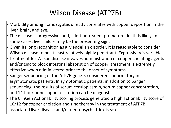# Wilson Disease (ATP7B)

- $\blacktriangleright$  Morbidity among homozygotes directly correlates with copper deposition in the liver, brain, and eye.
- $\blacktriangleright$  The disease is progressive, and, if left untreated, premature death is likely. In some cases, liver failure may be the presenting sign.
- $\cdot$  Given its long recognition as a Mendelian disorder, it is reasonable to consider Wilson disease to be at least relatively highly penetrant. Expressivity is variable.
- $\cdot$  Treatment for Wilson disease involves administration of copper chelating agents and/or zinc to block intestinal absorption of copper; treatment is extremely effective when administered prior to the onset of symptoms.
- $\cdot$  Sanger sequencing of the ATP7B gene is considered confirmatory in asymptomatic patients. In symptomatic patients, in addition to Sanger sequencing, the results of serum ceruloplasmin, serum copper concentration, and 14-hour urine copper excretion can be diagnostic.
- The ClinGen Actionability scoring process generated a high actionability score of 10/12 for copper chelation and zinc therapy in the treatment of ATP7B associated liver disease and/or neuropsychiatric disease.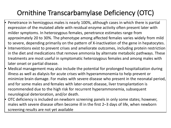# Ornithine Transcarbamylase Deficiency (OTC)

- Penetrance in hemizygous males is nearly 100%, although cases in which there is partial expression of the mutated allele with residual enzyme activity often present later with milder symptoms. In heterozygous females, penetrance estimates range from approximately 20 to 30%. The phenotype among affected females varies widely from mild to severe, depending primarily on the pattern of X-inactivation of the gene in hepatocytes.
- Interventions exist to prevent crises and ameliorate outcomes, including protein restriction in the diet and medications that remove ammonia by alternate metabolic pathways. These treatments are most useful in symptomatic heterozygous females and among males with later onset or partial disease.
- Medical management may also include the potential for prolonged hospitalization during illness as well as dialysis for acute crises with hyperammonemia to help prevent or minimize brain damage. For males with severe disease who present in the neonatal period, and for some males and females with later-onset disease, liver transplantation is recommended due to the high risk for recurrent hyperammonemia, subsequent neurological deterioration, and/or death.
- OTC deficiency is included on newborn screening panels in only some states; however, males with severe disease often become ill in the first 2–3 days of life, when newborn screening results are not yet available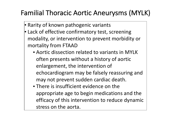# Familial Thoracic Aortic Aneurysms (MYLK)

- $\cdot$  Rarity of known pathogenic variants
- $\cdot$  Lack of effective confirmatory test, screening modality, or intervention to prevent morbidity or mortality from FTAAD
	- Aortic dissection related to variants in MYLK often presents without a history of aortic enlargement, the intervention of echocardiogram may be falsely reassuring and may not prevent sudden cardiac death.
	- There is insufficient evidence on the appropriate age to begin medications and the efficacy of this intervention to reduce dynamic stress on the aorta.